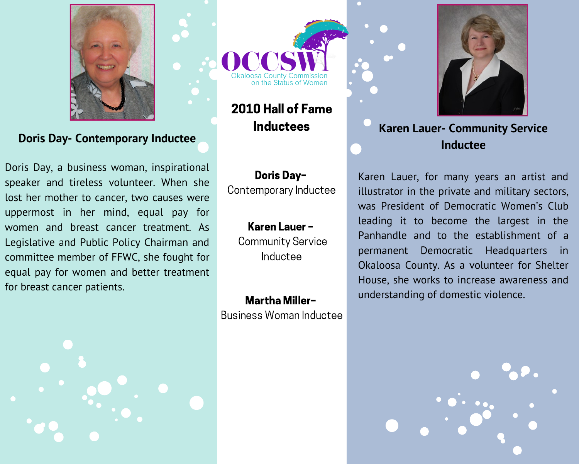

**Doris Day- Contemporary Inductee** 

Doris Day, a business woman, inspirational speaker and tireless volunteer. When she lost her mother to cancer, two causes were uppermost in her mind, equal pay for women and breast cancer treatment. As Legislative and Public Policy Chairman and committee member of FFWC, she fought for equal pay for women and better treatment for breast cancer patients.





2010 Hall of Fame **Inductees** 

**Doris Day-**Contemporary Inductee

## Karen Lauer -

**Community Service** Inductee

**Martha Miller-**Business Woman Inductee



## **Karen Lauer- Community Service** Inductee

Karen Lauer, for many years an artist and illustrator in the private and military sectors, was President of Democratic Women's Club leading it to become the largest in the Panhandle and to the establishment of a permanent Democratic Headquarters  $\overline{\phantom{a}}$  in Okaloosa County. As a volunteer for Shelter House, she works to increase awareness and understanding of domestic violence.